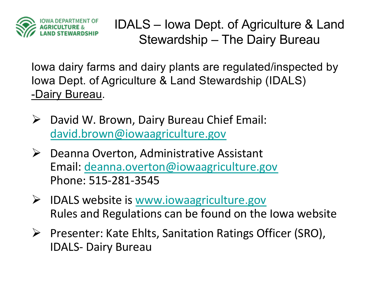

IDALS – Iowa Dept. of Agriculture & Land Stewardship – The Dairy Bureau

Iowa dairy farms and dairy plants are regulated/inspected by Iowa Dept. of Agriculture & Land Stewardship (IDALS) -Dairy Bureau.

- $\triangleright$  David W. Brown, Dairy Bureau Chief Email: [david.brown@iowaagriculture.gov](mailto:david.brown@iowaagriclture.gov)
- $\triangleright$  Deanna Overton, Administrative Assistant Email[: deanna.overton@iowaagriculture.gov](mailto:deanna.overton@iowaagriculture.gov) Phone: 515-281-3545
- $\triangleright$  IDALS website i[s www.iowaagriculture.gov](http://www.iowaagriculture.gov/) Rules and Regulations can be found on the Iowa website
- Ø Presenter: Kate Ehlts, Sanitation Ratings Officer (SRO), IDALS- Dairy Bureau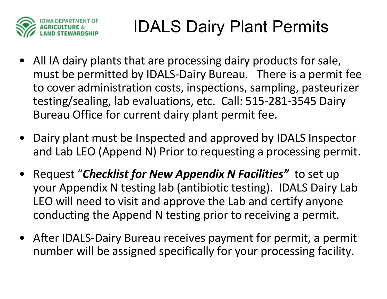

## IDALS Dairy Plant Permits

- All IA dairy plants that are processing dairy products for sale, must be permitted by IDALS-Dairy Bureau. There is a permit fee to cover administration costs, inspections, sampling, pasteurizer testing/sealing, lab evaluations, etc. Call: 515-281-3545 Dairy Bureau Office for current dairy plant permit fee.
- Dairy plant must be Inspected and approved by IDALS Inspector and Lab LEO (Append N) Prior to requesting a processing permit.
- Request "*Checklist for New Appendix N Facilities"* to set up your Appendix N testing lab (antibiotic testing). IDALS Dairy Lab LEO will need to visit and approve the Lab and certify anyone conducting the Append N testing prior to receiving a permit.
- After IDALS-Dairy Bureau receives payment for permit, a permit number will be assigned specifically for your processing facility.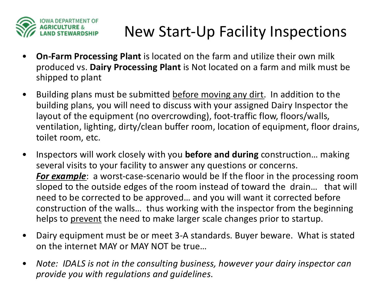

#### New Start-Up Facility Inspections

- **On-Farm Processing Plant** is located on the farm and utilize their own milk produced vs. **Dairy Processing Plant** is Not located on a farm and milk must be shipped to plant
- Building plans must be submitted before moving any dirt. In addition to the building plans, you will need to discuss with your assigned Dairy Inspector the layout of the equipment (no overcrowding), foot-traffic flow, floors/walls, ventilation, lighting, dirty/clean buffer room, location of equipment, floor drains, toilet room, etc.
- Inspectors will work closely with you **before and during** construction… making several visits to your facility to answer any questions or concerns. *For example*: a worst-case-scenario would be If the floor in the processing room sloped to the outside edges of the room instead of toward the drain… that will need to be corrected to be approved… and you will want it corrected before construction of the walls… thus working with the inspector from the beginning helps to prevent the need to make larger scale changes prior to startup.
- Dairy equipment must be or meet 3-A standards. Buyer beware. What is stated on the internet MAY or MAY NOT be true…
- *Note: IDALS is not in the consulting business, however your dairy inspector can provide you with regulations and guidelines*.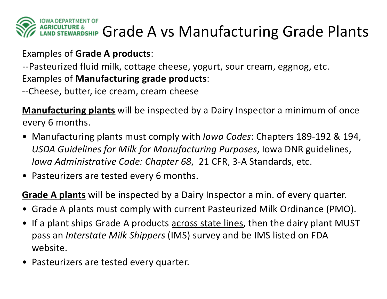

#### Examples of **Grade A products**:

--Pasteurized fluid milk, cottage cheese, yogurt, sour cream, eggnog, etc. Examples of **Manufacturing grade products**:

--Cheese, butter, ice cream, cream cheese

**Manufacturing plants** will be inspected by a Dairy Inspector a minimum of once every 6 months.

- Manufacturing plants must comply with *Iowa Codes*: Chapters 189-192 & 194, *USDA Guidelines for Milk for Manufacturing Purposes*, Iowa DNR guidelines, *Iowa Administrative Code: Chapter 68*, 21 CFR, 3-A Standards, etc.
- Pasteurizers are tested every 6 months.

**Grade A plants** will be inspected by a Dairy Inspector a min. of every quarter.

- Grade A plants must comply with current Pasteurized Milk Ordinance (PMO).
- If a plant ships Grade A products across state lines, then the dairy plant MUST pass an *Interstate Milk Shippers* (IMS) survey and be IMS listed on FDA website.
- Pasteurizers are tested every quarter.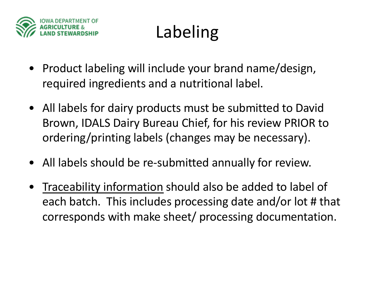

# Labeling

- Product labeling will include your brand name/design, required ingredients and a nutritional label.
- All labels for dairy products must be submitted to David Brown, IDALS Dairy Bureau Chief, for his review PRIOR to ordering/printing labels (changes may be necessary).
- All labels should be re-submitted annually for review.
- Traceability information should also be added to label of each batch. This includes processing date and/or lot # that corresponds with make sheet/ processing documentation.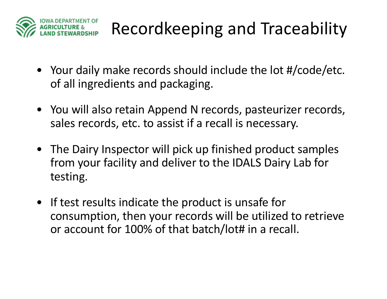

# Recordkeeping and Traceability

- Your daily make records should include the lot #/code/etc. of all ingredients and packaging.
- You will also retain Append N records, pasteurizer records, sales records, etc. to assist if a recall is necessary.
- The Dairy Inspector will pick up finished product samples from your facility and deliver to the IDALS Dairy Lab for testing.
- If test results indicate the product is unsafe for consumption, then your records will be utilized to retrieve or account for 100% of that batch/lot# in a recall.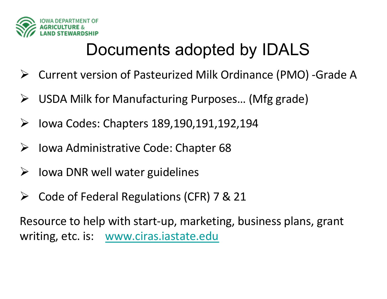

## Documents adopted by IDALS

- Ø Current version of Pasteurized Milk Ordinance (PMO) -Grade A
- USDA Milk for Manufacturing Purposes... (Mfg grade)
- $\triangleright$  Iowa Codes: Chapters 189,190,191,192,194
- Ø Iowa Administrative Code: Chapter 68
- $\triangleright$  Iowa DNR well water guidelines
- $\triangleright$  Code of Federal Regulations (CFR) 7 & 21

Resource to help with start-up, marketing, business plans, grant writing, etc. is: [www.ciras.iastate.edu](http://www.ciras.iastate.edu/)